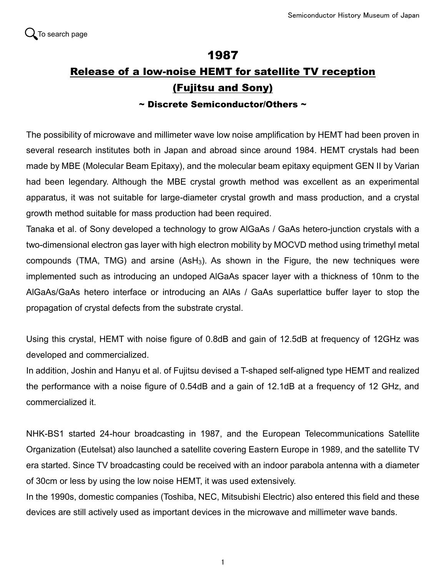## 1987 Release of a low-noise HEMT for satellite TV reception (Fujitsu and Sony)

## $\sim$  Discrete Semiconductor/Others  $\sim$

The possibility of microwave and millimeter wave low noise amplification by HEMT had been proven in several research institutes both in Japan and abroad since around 1984. HEMT crystals had been made by MBE (Molecular Beam Epitaxy), and the molecular beam epitaxy equipment GEN II by Varian had been legendary. Although the MBE crystal growth method was excellent as an experimental apparatus, it was not suitable for large-diameter crystal growth and mass production, and a crystal growth method suitable for mass production had been required.

Tanaka et al. of Sony developed a technology to grow AlGaAs / GaAs hetero-junction crystals with a two-dimensional electron gas layer with high electron mobility by MOCVD method using trimethyl metal compounds (TMA, TMG) and arsine  $(ASH<sub>3</sub>)$ . As shown in the Figure, the new techniques were implemented such as introducing an undoped AlGaAs spacer layer with a thickness of 10nm to the AlGaAs/GaAs hetero interface or introducing an AlAs / GaAs superlattice buffer layer to stop the propagation of crystal defects from the substrate crystal.

Using this crystal, HEMT with noise figure of 0.8dB and gain of 12.5dB at frequency of 12GHz was developed and commercialized.

In addition, Joshin and Hanyu et al. of Fujitsu devised a T-shaped self-aligned type HEMT and realized the performance with a noise figure of 0.54dB and a gain of 12.1dB at a frequency of 12 GHz, and commercialized it.

NHK-BS1 started 24-hour broadcasting in 1987, and the European Telecommunications Satellite Organization (Eutelsat) also launched a satellite covering Eastern Europe in 1989, and the satellite TV era started. Since TV broadcasting could be received with an indoor parabola antenna with a diameter of 30cm or less by using the low noise HEMT, it was used extensively.

In the 1990s, domestic companies (Toshiba, NEC, Mitsubishi Electric) also entered this field and these devices are still actively used as important devices in the microwave and millimeter wave bands.

1